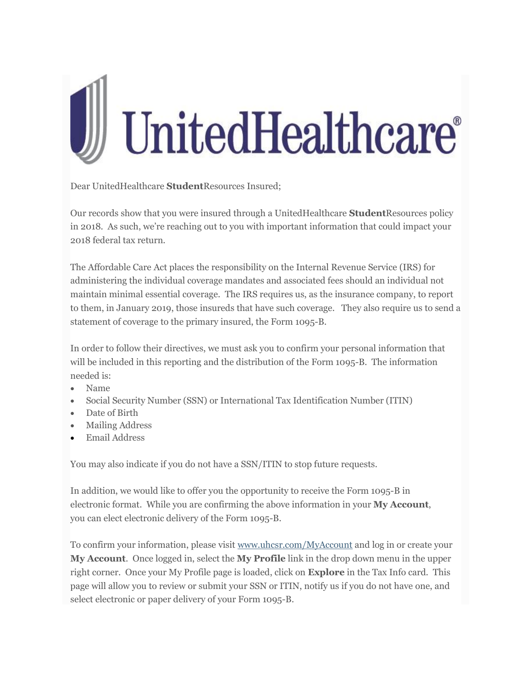

Dear UnitedHealthcare **Student**Resources Insured;

Our records show that you were insured through a UnitedHealthcare **Student**Resources policy in 2018. As such, we're reaching out to you with important information that could impact your 2018 federal tax return.

The Affordable Care Act places the responsibility on the Internal Revenue Service (IRS) for administering the individual coverage mandates and associated fees should an individual not maintain minimal essential coverage. The IRS requires us, as the insurance company, to report to them, in January 2019, those insureds that have such coverage. They also require us to send a statement of coverage to the primary insured, the Form 1095-B.

In order to follow their directives, we must ask you to confirm your personal information that will be included in this reporting and the distribution of the Form 1095-B. The information needed is:

- Name
- Social Security Number (SSN) or International Tax Identification Number (ITIN)
- Date of Birth
- Mailing Address
- Email Address

You may also indicate if you do not have a SSN/ITIN to stop future requests.

In addition, we would like to offer you the opportunity to receive the Form 1095-B in electronic format. While you are confirming the above information in your **My Account**, you can elect electronic delivery of the Form 1095-B.

To confirm your information, please visit [www.uhcsr.com/MyAccount](http://policyservices.cmail19.com/t/d-i-kyjrdht-l-r/) and log in or create your **My Account**. Once logged in, select the **My Profile** link in the drop down menu in the upper right corner. Once your My Profile page is loaded, click on **Explore** in the Tax Info card. This page will allow you to review or submit your SSN or ITIN, notify us if you do not have one, and select electronic or paper delivery of your Form 1095-B.